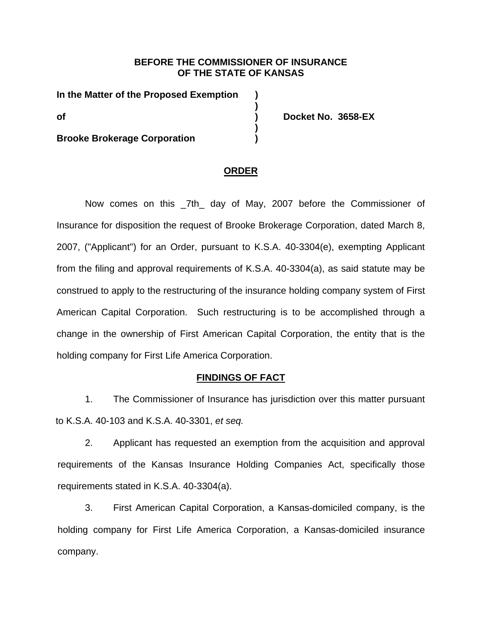### **BEFORE THE COMMISSIONER OF INSURANCE OF THE STATE OF KANSAS**

**In the Matter of the Proposed Exemption ) ) of ) Docket No. 3658-EX )** 

**Brooke Brokerage Corporation )** 

#### **ORDER**

Now comes on this \_7th\_ day of May, 2007 before the Commissioner of Insurance for disposition the request of Brooke Brokerage Corporation, dated March 8, 2007, ("Applicant") for an Order, pursuant to K.S.A. 40-3304(e), exempting Applicant from the filing and approval requirements of K.S.A. 40-3304(a), as said statute may be construed to apply to the restructuring of the insurance holding company system of First American Capital Corporation. Such restructuring is to be accomplished through a change in the ownership of First American Capital Corporation, the entity that is the holding company for First Life America Corporation.

#### **FINDINGS OF FACT**

1. The Commissioner of Insurance has jurisdiction over this matter pursuant to K.S.A. 40-103 and K.S.A. 40-3301, *et seq.*

2. Applicant has requested an exemption from the acquisition and approval requirements of the Kansas Insurance Holding Companies Act, specifically those requirements stated in K.S.A. 40-3304(a).

3. First American Capital Corporation, a Kansas-domiciled company, is the holding company for First Life America Corporation, a Kansas-domiciled insurance company.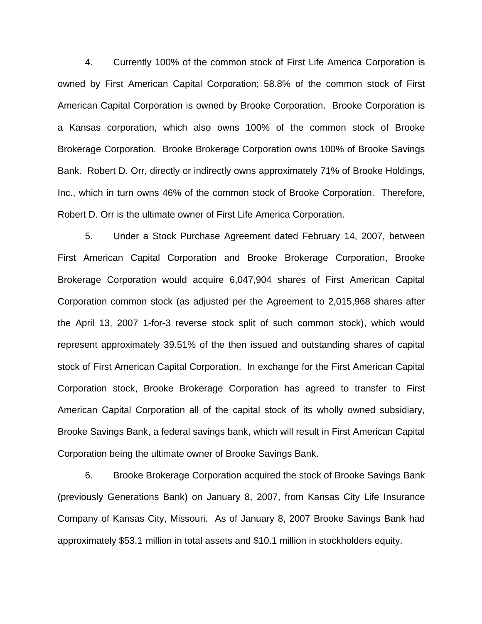4. Currently 100% of the common stock of First Life America Corporation is owned by First American Capital Corporation; 58.8% of the common stock of First American Capital Corporation is owned by Brooke Corporation. Brooke Corporation is a Kansas corporation, which also owns 100% of the common stock of Brooke Brokerage Corporation. Brooke Brokerage Corporation owns 100% of Brooke Savings Bank. Robert D. Orr, directly or indirectly owns approximately 71% of Brooke Holdings, Inc., which in turn owns 46% of the common stock of Brooke Corporation. Therefore, Robert D. Orr is the ultimate owner of First Life America Corporation.

5. Under a Stock Purchase Agreement dated February 14, 2007, between First American Capital Corporation and Brooke Brokerage Corporation, Brooke Brokerage Corporation would acquire 6,047,904 shares of First American Capital Corporation common stock (as adjusted per the Agreement to 2,015,968 shares after the April 13, 2007 1-for-3 reverse stock split of such common stock), which would represent approximately 39.51% of the then issued and outstanding shares of capital stock of First American Capital Corporation. In exchange for the First American Capital Corporation stock, Brooke Brokerage Corporation has agreed to transfer to First American Capital Corporation all of the capital stock of its wholly owned subsidiary, Brooke Savings Bank, a federal savings bank, which will result in First American Capital Corporation being the ultimate owner of Brooke Savings Bank.

6. Brooke Brokerage Corporation acquired the stock of Brooke Savings Bank (previously Generations Bank) on January 8, 2007, from Kansas City Life Insurance Company of Kansas City, Missouri. As of January 8, 2007 Brooke Savings Bank had approximately \$53.1 million in total assets and \$10.1 million in stockholders equity.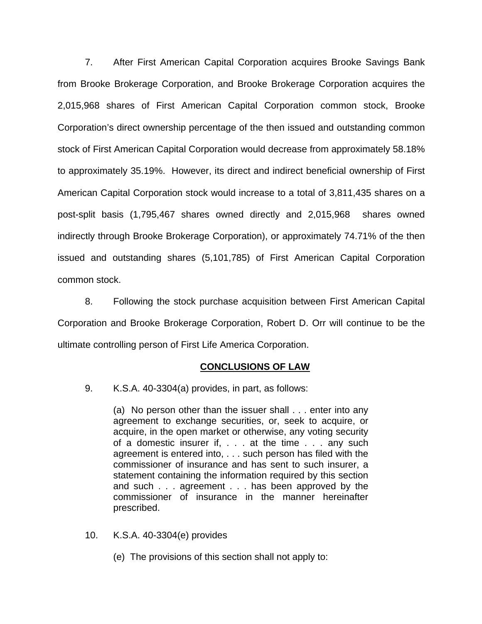7. After First American Capital Corporation acquires Brooke Savings Bank from Brooke Brokerage Corporation, and Brooke Brokerage Corporation acquires the 2,015,968 shares of First American Capital Corporation common stock, Brooke Corporation's direct ownership percentage of the then issued and outstanding common stock of First American Capital Corporation would decrease from approximately 58.18% to approximately 35.19%. However, its direct and indirect beneficial ownership of First American Capital Corporation stock would increase to a total of 3,811,435 shares on a post-split basis (1,795,467 shares owned directly and 2,015,968 shares owned indirectly through Brooke Brokerage Corporation), or approximately 74.71% of the then issued and outstanding shares (5,101,785) of First American Capital Corporation common stock.

8. Following the stock purchase acquisition between First American Capital Corporation and Brooke Brokerage Corporation, Robert D. Orr will continue to be the ultimate controlling person of First Life America Corporation.

#### **CONCLUSIONS OF LAW**

9. K.S.A. 40-3304(a) provides, in part, as follows:

(a) No person other than the issuer shall . . . enter into any agreement to exchange securities, or, seek to acquire, or acquire, in the open market or otherwise, any voting security of a domestic insurer if, . . . at the time . . . any such agreement is entered into, . . . such person has filed with the commissioner of insurance and has sent to such insurer, a statement containing the information required by this section and such . . . agreement . . . has been approved by the commissioner of insurance in the manner hereinafter prescribed.

- 10. K.S.A. 40-3304(e) provides
	- (e) The provisions of this section shall not apply to: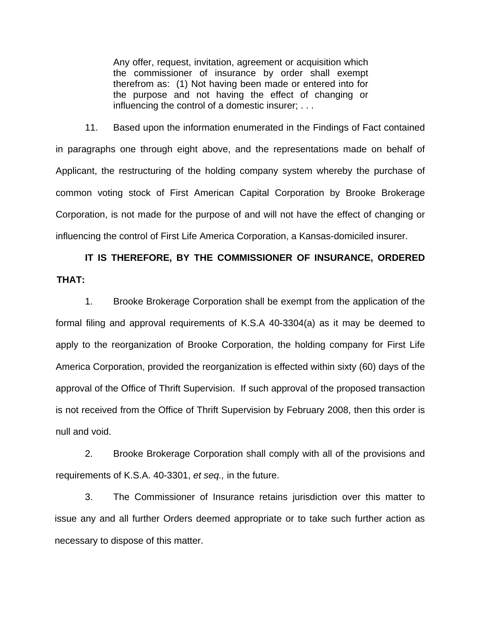Any offer, request, invitation, agreement or acquisition which the commissioner of insurance by order shall exempt therefrom as: (1) Not having been made or entered into for the purpose and not having the effect of changing or influencing the control of a domestic insurer; . . .

11. Based upon the information enumerated in the Findings of Fact contained in paragraphs one through eight above, and the representations made on behalf of Applicant, the restructuring of the holding company system whereby the purchase of common voting stock of First American Capital Corporation by Brooke Brokerage Corporation, is not made for the purpose of and will not have the effect of changing or influencing the control of First Life America Corporation, a Kansas-domiciled insurer.

# **IT IS THEREFORE, BY THE COMMISSIONER OF INSURANCE, ORDERED THAT:**

1. Brooke Brokerage Corporation shall be exempt from the application of the formal filing and approval requirements of K.S.A 40-3304(a) as it may be deemed to apply to the reorganization of Brooke Corporation, the holding company for First Life America Corporation, provided the reorganization is effected within sixty (60) days of the approval of the Office of Thrift Supervision. If such approval of the proposed transaction is not received from the Office of Thrift Supervision by February 2008, then this order is null and void.

2. Brooke Brokerage Corporation shall comply with all of the provisions and requirements of K.S.A. 40-3301, *et seq.,* in the future.

3. The Commissioner of Insurance retains jurisdiction over this matter to issue any and all further Orders deemed appropriate or to take such further action as necessary to dispose of this matter.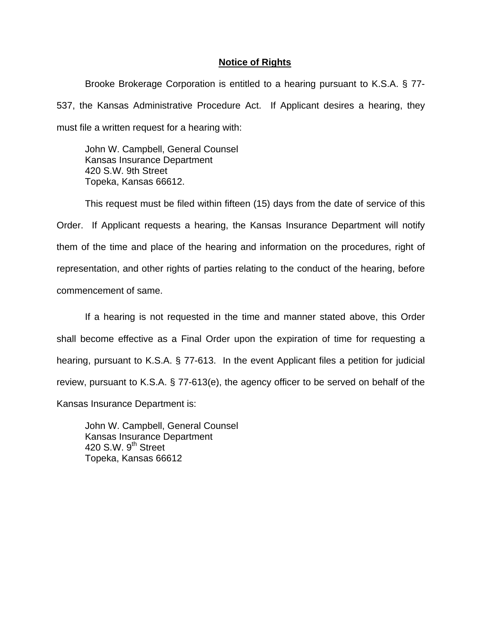## **Notice of Rights**

 Brooke Brokerage Corporation is entitled to a hearing pursuant to K.S.A. § 77- 537, the Kansas Administrative Procedure Act. If Applicant desires a hearing, they must file a written request for a hearing with:

John W. Campbell, General Counsel Kansas Insurance Department 420 S.W. 9th Street Topeka, Kansas 66612.

 This request must be filed within fifteen (15) days from the date of service of this Order. If Applicant requests a hearing, the Kansas Insurance Department will notify them of the time and place of the hearing and information on the procedures, right of representation, and other rights of parties relating to the conduct of the hearing, before commencement of same.

 If a hearing is not requested in the time and manner stated above, this Order shall become effective as a Final Order upon the expiration of time for requesting a hearing, pursuant to K.S.A. § 77-613. In the event Applicant files a petition for judicial review, pursuant to K.S.A. § 77-613(e), the agency officer to be served on behalf of the Kansas Insurance Department is:

 John W. Campbell, General Counsel Kansas Insurance Department 420 S.W.  $9<sup>th</sup>$  Street Topeka, Kansas 66612